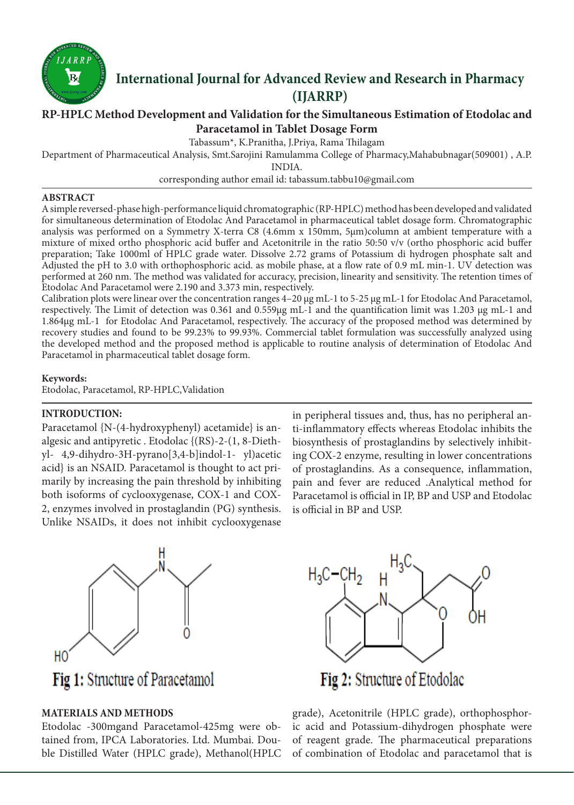

# **International Journal for Advanced Review and Research in Pharmacy (IJARRP)**

# **RP-HPLC Method Development and Validation for the Simultaneous Estimation of Etodolac and Paracetamol in Tablet Dosage Form**

Tabassum\*, K.Pranitha, J.Priya, Rama Thilagam

Department of Pharmaceutical Analysis, Smt.Sarojini Ramulamma College of Pharmacy,Mahabubnagar(509001) , A.P.

INDIA.

corresponding author email id: tabassum.tabbu10@gmail.com

#### **ABSTRACT**

A simple reversed-phase high-performance liquid chromatographic (RP-HPLC) method has been developed and validated for simultaneous determination of Etodolac And Paracetamol in pharmaceutical tablet dosage form. Chromatographic analysis was performed on a Symmetry X-terra C8 (4.6mm x 150mm, 5µm)column at ambient temperature with a mixture of mixed ortho phosphoric acid buffer and Acetonitrile in the ratio 50:50 v/v (ortho phosphoric acid buffer preparation; Take 1000ml of HPLC grade water. Dissolve 2.72 grams of Potassium di hydrogen phosphate salt and Adjusted the pH to 3.0 with orthophosphoric acid. as mobile phase, at a flow rate of 0.9 mL min-1. UV detection was performed at 260 nm. The method was validated for accuracy, precision, linearity and sensitivity. The retention times of Etodolac And Paracetamol were 2.190 and 3.373 min, respectively.

Calibration plots were linear over the concentration ranges 4–20 μg mL-1 to 5-25 μg mL-1 for Etodolac And Paracetamol, respectively. The Limit of detection was 0.361 and 0.559µg mL-1 and the quantification limit was 1.203 µg mL-1 and 1.864µg mL-1 for Etodolac And Paracetamol, respectively. The accuracy of the proposed method was determined by recovery studies and found to be 99.23% to 99.93%. Commercial tablet formulation was successfully analyzed using the developed method and the proposed method is applicable to routine analysis of determination of Etodolac And Paracetamol in pharmaceutical tablet dosage form.

# **Keywords:**

Etodolac, Paracetamol, RP-HPLC,Validation

# **INTRODUCTION:**

Paracetamol {N-(4-hydroxyphenyl) acetamide} is analgesic and antipyretic . Etodolac {(RS)-2-(1, 8-Diethyl- 4,9-dihydro-3H-pyrano[3,4-b]indol-1- yl)acetic acid} is an NSAID. Paracetamol is thought to act primarily by increasing the pain threshold by inhibiting both isoforms of cyclooxygenase, COX-1 and COX-2, enzymes involved in prostaglandin (PG) synthesis. Unlike NSAIDs, it does not inhibit cyclooxygenase

in peripheral tissues and, thus, has no peripheral anti-inflammatory effects whereas Etodolac inhibits the biosynthesis of prostaglandins by selectively inhibiting COX-2 enzyme, resulting in lower concentrations of prostaglandins. As a consequence, inflammation, pain and fever are reduced .Analytical method for Paracetamol is official in IP, BP and USP and Etodolac is official in BP and USP.



Fig 1: Structure of Paracetamol

# **MATERIALS AND METHODS**

Etodolac -300mgand Paracetamol-425mg were obtained from, IPCA Laboratories. Ltd. Mumbai. Double Distilled Water (HPLC grade), Methanol(HPLC



grade), Acetonitrile (HPLC grade), orthophosphoric acid and Potassium-dihydrogen phosphate were of reagent grade. The pharmaceutical preparations of combination of Etodolac and paracetamol that is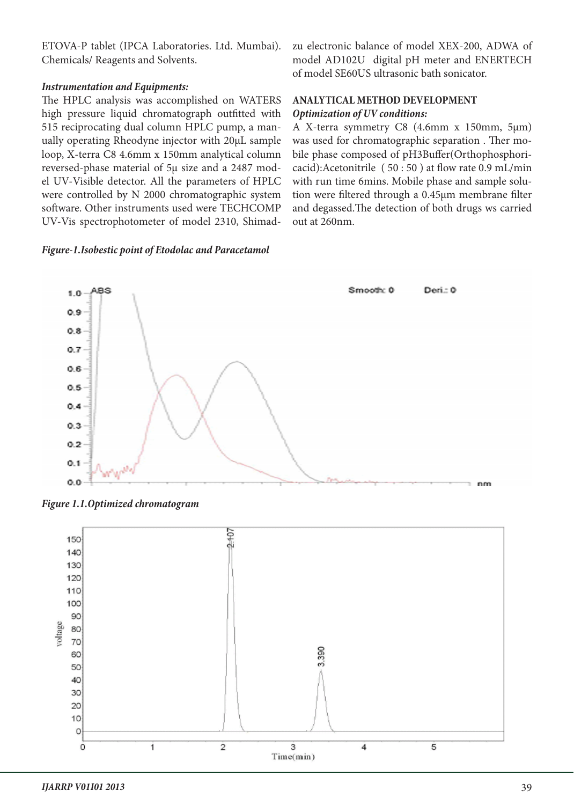ETOVA-P tablet (IPCA Laboratories. Ltd. Mumbai). Chemicals/ Reagents and Solvents.

# *Instrumentation and Equipments:*

The HPLC analysis was accomplished on WATERS high pressure liquid chromatograph outfitted with 515 reciprocating dual column HPLC pump, a manually operating Rheodyne injector with 20μL sample loop, X-terra C8 4.6mm x 150mm analytical column reversed-phase material of 5μ size and a 2487 model UV-Visible detector. All the parameters of HPLC were controlled by N 2000 chromatographic system software. Other instruments used were TECHCOMP UV-Vis spectrophotometer of model 2310, Shimad-

#### *Figure-1.Isobestic point of Etodolac and Paracetamol*

zu electronic balance of model XEX-200, ADWA of model AD102U digital pH meter and ENERTECH of model SE60US ultrasonic bath sonicator.

# **ANALYTICAL METHOD DEVELOPMENT** *Optimization of UV conditions:*

A X-terra symmetry C8 (4.6mm x 150mm, 5µm) was used for chromatographic separation . Ther mobile phase composed of pH3Buffer(Orthophosphoricacid):Acetonitrile ( 50 : 50 ) at flow rate 0.9 mL/min with run time 6mins. Mobile phase and sample solution were filtered through a 0.45μm membrane filter and degassed.The detection of both drugs ws carried out at 260nm.



*Figure 1.1.Optimized chromatogram*

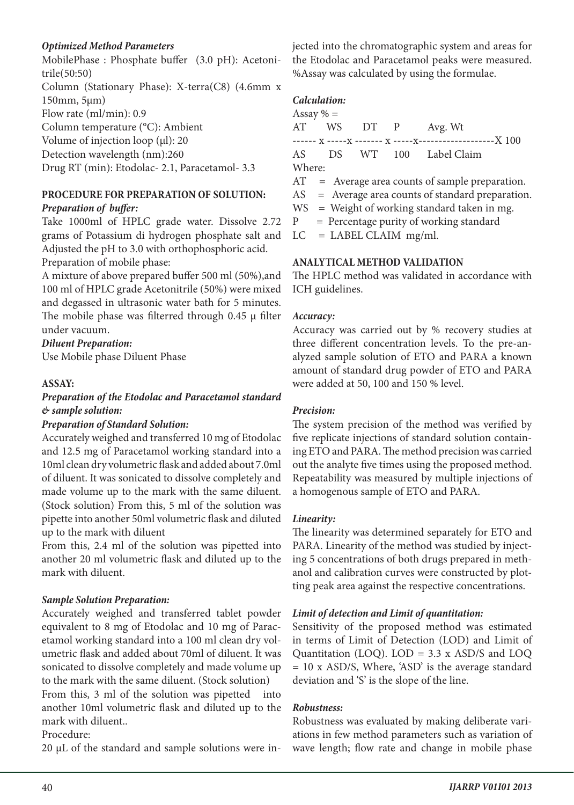# *Optimized Method Parameters*

MobilePhase : Phosphate buffer (3.0 pH): Acetonitrile(50:50) Column (Stationary Phase): X-terra(C8) (4.6mm x 150mm, 5µm) Flow rate (ml/min): 0.9 Column temperature (°C): Ambient Volume of injection loop  $(\mu l)$ : 20 Detection wavelength (nm):260 Drug RT (min): Etodolac- 2.1, Paracetamol- 3.3

# **PROCEDURE FOR PREPARATION OF SOLUTION:**

# *Preparation of buffer:*

Take 1000ml of HPLC grade water. Dissolve 2.72 grams of Potassium di hydrogen phosphate salt and Adjusted the pH to 3.0 with orthophosphoric acid. Preparation of mobile phase:

A mixture of above prepared buffer 500 ml (50%),and 100 ml of HPLC grade Acetonitrile (50%) were mixed and degassed in ultrasonic water bath for 5 minutes. The mobile phase was filterred through  $0.45 \mu$  filter under vacuum.

# *Diluent Preparation:*

Use Mobile phase Diluent Phase

# **ASSAY:**

# *Preparation of the Etodolac and Paracetamol standard & sample solution:*

# *Preparation of Standard Solution:*

Accurately weighed and transferred 10 mg of Etodolac and 12.5 mg of Paracetamol working standard into a 10ml clean dry volumetric flask and added about 7.0ml of diluent. It was sonicated to dissolve completely and made volume up to the mark with the same diluent. (Stock solution) From this, 5 ml of the solution was pipette into another 50ml volumetric flask and diluted up to the mark with diluent

From this, 2.4 ml of the solution was pipetted into another 20 ml volumetric flask and diluted up to the mark with diluent.

# *Sample Solution Preparation:*

Accurately weighed and transferred tablet powder equivalent to 8 mg of Etodolac and 10 mg of Paracetamol working standard into a 100 ml clean dry volumetric flask and added about 70ml of diluent. It was sonicated to dissolve completely and made volume up to the mark with the same diluent. (Stock solution) From this, 3 ml of the solution was pipetted into another 10ml volumetric flask and diluted up to the mark with diluent.. Procedure:

20 µL of the standard and sample solutions were in-

jected into the chromatographic system and areas for the Etodolac and Paracetamol peaks were measured. %Assay was calculated by using the formulae.

# *Calculation:*

Assay  $% =$ AT WS DT P Avg. Wt ------ x -----x ------- x -----x-------------------X 100 AS DS WT 100 Label Claim Where: AT = Average area counts of sample preparation.

AS = Average area counts of standard preparation.

WS = Weight of working standard taken in mg.

 $P = Percentage purity of working standard$ 

 $LC = LABEL CLAIM mg/ml.$ 

#### **ANALYTICAL METHOD VALIDATION**

The HPLC method was validated in accordance with ICH guidelines.

#### *Accuracy:*

Accuracy was carried out by % recovery studies at three different concentration levels. To the pre-analyzed sample solution of ETO and PARA a known amount of standard drug powder of ETO and PARA were added at 50, 100 and 150 % level.

# *Precision:*

The system precision of the method was verified by five replicate injections of standard solution containing ETO and PARA. The method precision was carried out the analyte five times using the proposed method. Repeatability was measured by multiple injections of a homogenous sample of ETO and PARA.

#### *Linearity:*

The linearity was determined separately for ETO and PARA. Linearity of the method was studied by injecting 5 concentrations of both drugs prepared in methanol and calibration curves were constructed by plotting peak area against the respective concentrations.

# *Limit of detection and Limit of quantitation:*

Sensitivity of the proposed method was estimated in terms of Limit of Detection (LOD) and Limit of Quantitation (LOQ). LOD = 3.3 x ASD/S and LOQ = 10 x ASD/S, Where, 'ASD' is the average standard deviation and 'S' is the slope of the line.

# *Robustness:*

Robustness was evaluated by making deliberate variations in few method parameters such as variation of wave length; flow rate and change in mobile phase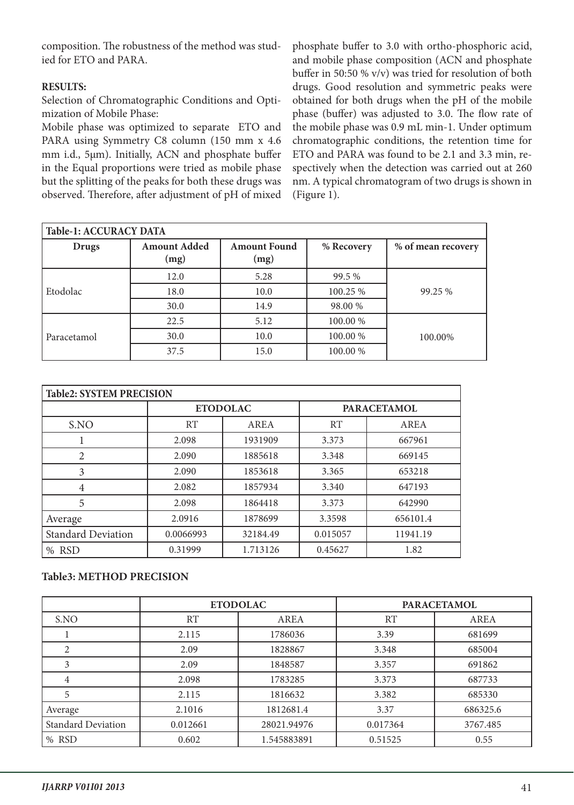composition. The robustness of the method was studied for ETO and PARA.

# **RESULTS:**

Selection of Chromatographic Conditions and Optimization of Mobile Phase:

Mobile phase was optimized to separate ETO and PARA using Symmetry C8 column (150 mm x 4.6 mm i.d., 5μm). Initially, ACN and phosphate buffer in the Equal proportions were tried as mobile phase but the splitting of the peaks for both these drugs was observed. Therefore, after adjustment of pH of mixed phosphate buffer to 3.0 with ortho-phosphoric acid, and mobile phase composition (ACN and phosphate buffer in 50:50 % v/v) was tried for resolution of both drugs. Good resolution and symmetric peaks were obtained for both drugs when the pH of the mobile phase (buffer) was adjusted to 3.0. The flow rate of the mobile phase was 0.9 mL min-1. Under optimum chromatographic conditions, the retention time for ETO and PARA was found to be 2.1 and 3.3 min, respectively when the detection was carried out at 260 nm. A typical chromatogram of two drugs is shown in (Figure 1).

| <b>Table-1: ACCURACY DATA</b> |                             |                             |            |                    |  |
|-------------------------------|-----------------------------|-----------------------------|------------|--------------------|--|
| <b>Drugs</b>                  | <b>Amount Added</b><br>(mg) | <b>Amount Found</b><br>(mg) | % Recovery | % of mean recovery |  |
|                               | 12.0                        | 5.28                        | 99.5 %     |                    |  |
| Etodolac                      | 18.0                        | 10.0                        | 100.25 %   | 99.25 %            |  |
|                               | 30.0                        | 14.9                        | 98.00 %    |                    |  |
|                               | 22.5                        | 5.12                        | 100.00 %   |                    |  |
| Paracetamol                   | 30.0                        | 10.0                        | 100.00 %   | 100.00%            |  |
|                               | 37.5                        | 15.0                        | 100.00 %   |                    |  |

| <b>Table2: SYSTEM PRECISION</b> |                 |          |                    |             |  |
|---------------------------------|-----------------|----------|--------------------|-------------|--|
|                                 | <b>ETODOLAC</b> |          | <b>PARACETAMOL</b> |             |  |
| S.NO                            | RT              | AREA     | RT                 | <b>AREA</b> |  |
|                                 | 2.098           | 1931909  | 3.373              | 667961      |  |
| 2                               | 2.090           | 1885618  | 3.348              | 669145      |  |
| 3                               | 2.090           | 1853618  | 3.365              | 653218      |  |
| 4                               | 2.082           | 1857934  | 3.340              | 647193      |  |
| 5                               | 2.098           | 1864418  | 3.373              | 642990      |  |
| Average                         | 2.0916          | 1878699  | 3.3598             | 656101.4    |  |
| <b>Standard Deviation</b>       | 0.0066993       | 32184.49 | 0.015057           | 11941.19    |  |
| % RSD                           | 0.31999         | 1.713126 | 0.45627            | 1.82        |  |

# **Table3: METHOD PRECISION**

|                           | <b>ETODOLAC</b> |             | <b>PARACETAMOL</b> |          |
|---------------------------|-----------------|-------------|--------------------|----------|
| S.NO                      | RT              | <b>AREA</b> | <b>RT</b>          | AREA     |
|                           | 2.115           | 1786036     | 3.39               | 681699   |
| 2                         | 2.09            | 1828867     | 3.348              | 685004   |
| 3                         | 2.09            | 1848587     | 3.357              | 691862   |
| 4                         | 2.098           | 1783285     | 3.373              | 687733   |
| 5                         | 2.115           | 1816632     | 3.382              | 685330   |
| Average                   | 2.1016          | 1812681.4   | 3.37               | 686325.6 |
| <b>Standard Deviation</b> | 0.012661        | 28021.94976 | 0.017364           | 3767.485 |
| % RSD                     | 0.602           | 1.545883891 | 0.51525            | 0.55     |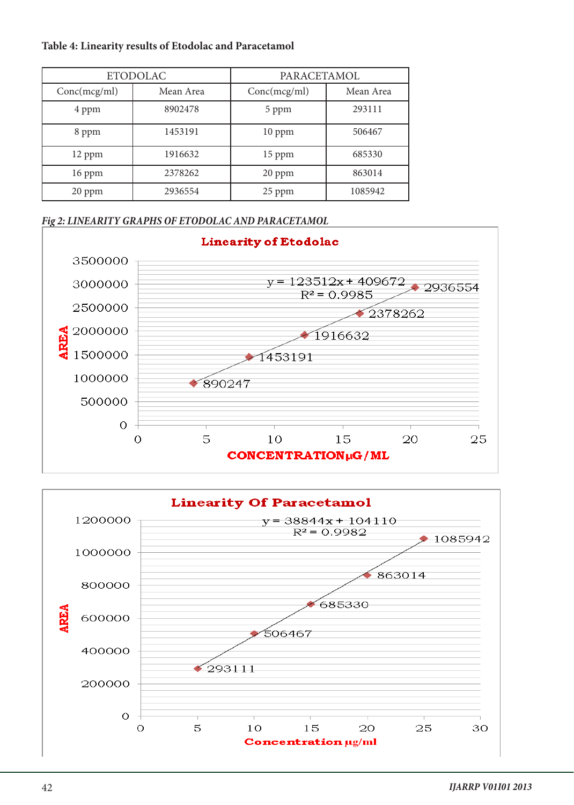# **Table 4: Linearity results of Etodolac and Paracetamol**

| <b>ETODOLAC</b> |           | PARACETAMOL  |           |
|-----------------|-----------|--------------|-----------|
| Conc(mcg/ml)    | Mean Area | Conc(mcg/ml) | Mean Area |
| 4 ppm           | 8902478   | 5 ppm        | 293111    |
| 8 ppm           | 1453191   | $10$ ppm     | 506467    |
| 12 ppm          | 1916632   | 15 ppm       | 685330    |
| 16 ppm          | 2378262   | $20$ ppm     | 863014    |
| 20 ppm          | 2936554   | 25 ppm       | 1085942   |

# *Fig 2: LINEARITY GRAPHS OF ETODOLAC AND PARACETAMOL*



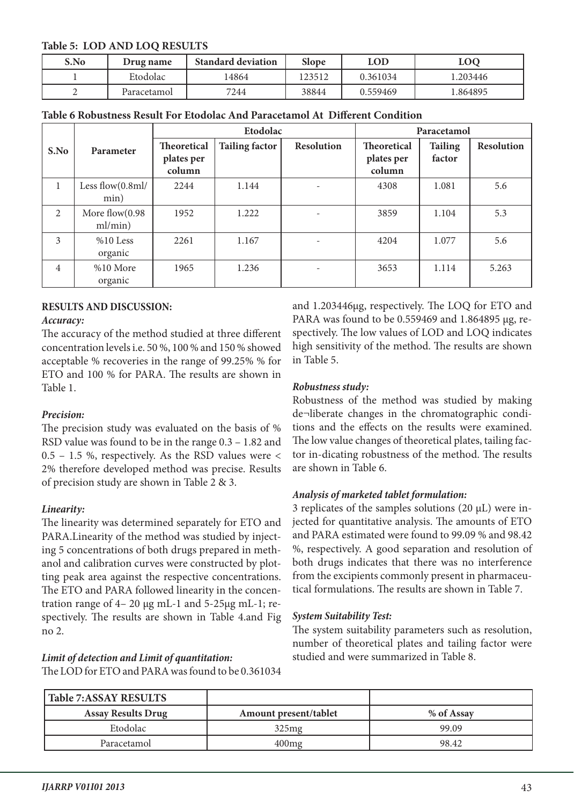# **Table 5: LOD AND LOQ RESULTS**

| S.No | Drug name   | <b>Standard deviation</b> | <b>Slope</b> | LOD      | LOQ      |
|------|-------------|---------------------------|--------------|----------|----------|
|      | Etodolac    | 4864                      | 23512        | 0.361034 | 1.203446 |
| ∸    | Paracetamol | 7244                      | 38844        | 0.559469 | l.864895 |

| Table 6 Robustness Result For Etodolac And Paracetamol At Different Condition |  |
|-------------------------------------------------------------------------------|--|
|-------------------------------------------------------------------------------|--|

|                |                              | Etodolac                                   |                       | Paracetamol       |                                     |                          |                   |
|----------------|------------------------------|--------------------------------------------|-----------------------|-------------------|-------------------------------------|--------------------------|-------------------|
| S.No           | Parameter                    | <b>Theoretical</b><br>plates per<br>column | <b>Tailing factor</b> | <b>Resolution</b> | Theoretical<br>plates per<br>column | <b>Tailing</b><br>factor | <b>Resolution</b> |
| $\mathbf{1}$   | Less flow $(0.8$ ml/<br>min) | 2244                                       | 1.144                 |                   | 4308                                | 1.081                    | 5.6               |
| $\overline{2}$ | More flow(0.98<br>ml/min)    | 1952                                       | 1.222                 |                   | 3859                                | 1.104                    | 5.3               |
| 3              | %10 Less<br>organic          | 2261                                       | 1.167                 |                   | 4204                                | 1.077                    | 5.6               |
| $\overline{4}$ | %10 More<br>organic          | 1965                                       | 1.236                 | ٠                 | 3653                                | 1.114                    | 5.263             |

# **RESULTS AND DISCUSSION:**

#### *Accuracy:*

The accuracy of the method studied at three different concentration levels i.e. 50 %, 100 % and 150 % showed acceptable % recoveries in the range of 99.25% % for ETO and 100 % for PARA. The results are shown in Table 1.

# *Precision:*

The precision study was evaluated on the basis of % RSD value was found to be in the range 0.3 – 1.82 and  $0.5 - 1.5$  %, respectively. As the RSD values were < 2% therefore developed method was precise. Results of precision study are shown in Table 2 & 3.

# *Linearity:*

The linearity was determined separately for ETO and PARA.Linearity of the method was studied by injecting 5 concentrations of both drugs prepared in methanol and calibration curves were constructed by plotting peak area against the respective concentrations. The ETO and PARA followed linearity in the concentration range of 4– 20 μg mL-1 and 5-25μg mL-1; respectively. The results are shown in Table 4.and Fig no 2.

#### *Limit of detection and Limit of quantitation:* The LOD for ETO and PARA was found to be 0.361034

and 1.203446μg, respectively. The LOQ for ETO and PARA was found to be 0.559469 and 1.864895 μg, respectively. The low values of LOD and LOQ indicates high sensitivity of the method. The results are shown in Table 5.

# *Robustness study:*

Robustness of the method was studied by making de¬liberate changes in the chromatographic conditions and the effects on the results were examined. The low value changes of theoretical plates, tailing factor in-dicating robustness of the method. The results are shown in Table 6.

# *Analysis of marketed tablet formulation:*

3 replicates of the samples solutions (20 μL) were injected for quantitative analysis. The amounts of ETO and PARA estimated were found to 99.09 % and 98.42 %, respectively. A good separation and resolution of both drugs indicates that there was no interference from the excipients commonly present in pharmaceutical formulations. The results are shown in Table 7.

# *System Suitability Test:*

The system suitability parameters such as resolution, number of theoretical plates and tailing factor were studied and were summarized in Table 8.

| <b>Table 7:ASSAY RESULTS</b> |                       |            |
|------------------------------|-----------------------|------------|
| <b>Assay Results Drug</b>    | Amount present/tablet | % of Assay |
| Etodolac                     | 325mg                 | 99.09      |
| Paracetamol                  | $400$ mg              | 98.42      |